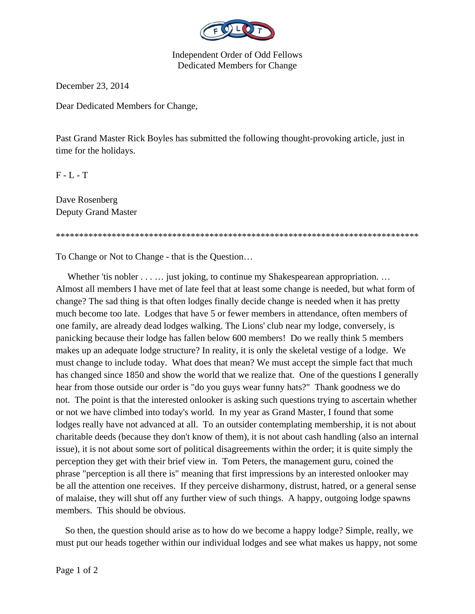

Independent Order of Odd Fellows Dedicated Members for Change

December 23, 2014

Dear Dedicated Members for Change,

Past Grand Master Rick Boyles has submitted the following thought-provoking article, just in time for the holidays.

\*\*\*\*\*\*\*\*\*\*\*\*\*\*\*\*\*\*\*\*\*\*\*\*\*\*\*\*\*\*\*\*\*\*\*\*\*\*\*\*\*\*\*\*\*\*\*\*\*\*\*\*\*\*\*\*\*\*\*\*\*\*\*\*\*\*\*\*\*\*\*\*\*\*\*\*\*\*

 $F - L - T$ 

Dave Rosenberg Deputy Grand Master

To Change or Not to Change - that is the Question…

Whether 'tis nobler . . . . . . just joking, to continue my Shakespearean appropriation. . . . Almost all members I have met of late feel that at least some change is needed, but what form of change? The sad thing is that often lodges finally decide change is needed when it has pretty much become too late. Lodges that have 5 or fewer members in attendance, often members of one family, are already dead lodges walking. The Lions' club near my lodge, conversely, is panicking because their lodge has fallen below 600 members! Do we really think 5 members makes up an adequate lodge structure? In reality, it is only the skeletal vestige of a lodge. We must change to include today. What does that mean? We must accept the simple fact that much has changed since 1850 and show the world that we realize that. One of the questions I generally hear from those outside our order is "do you guys wear funny hats?" Thank goodness we do not. The point is that the interested onlooker is asking such questions trying to ascertain whether or not we have climbed into today's world. In my year as Grand Master, I found that some lodges really have not advanced at all. To an outsider contemplating membership, it is not about charitable deeds (because they don't know of them), it is not about cash handling (also an internal issue), it is not about some sort of political disagreements within the order; it is quite simply the perception they get with their brief view in. Tom Peters, the management guru, coined the phrase "perception is all there is" meaning that first impressions by an interested onlooker may be all the attention one receives. If they perceive disharmony, distrust, hatred, or a general sense of malaise, they will shut off any further view of such things. A happy, outgoing lodge spawns members. This should be obvious.

 So then, the question should arise as to how do we become a happy lodge? Simple, really, we must put our heads together within our individual lodges and see what makes us happy, not some